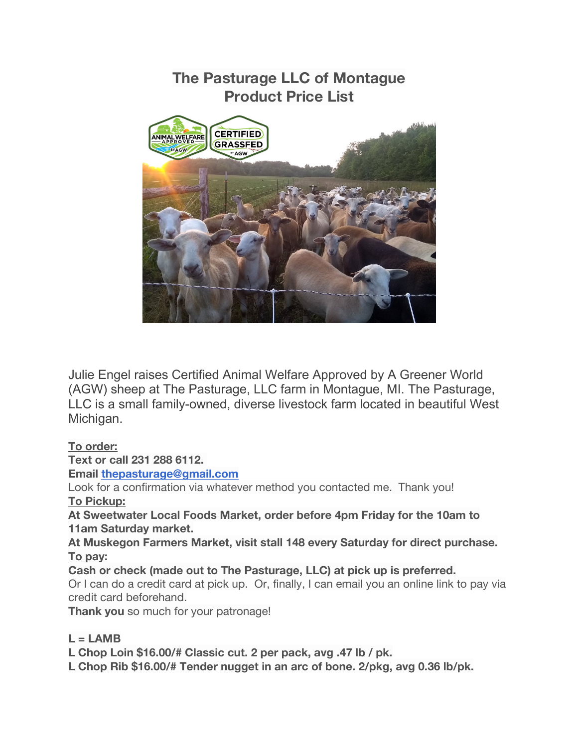

Julie Engel raises Certified Animal Welfare Approved by A Greener World (AGW) sheep at The Pasturage, LLC farm in Montague, MI. The Pasturage, LLC is a small family-owned, diverse livestock farm located in beautiful West Michigan.

## **To order:**

**Text or call 231 288 6112.**

**Email thepasturage@gmail.com**

Look for a confirmation via whatever method you contacted me. Thank you! **To Pickup:**

**At Sweetwater Local Foods Market, order before 4pm Friday for the 10am to 11am Saturday market.**

**At Muskegon Farmers Market, visit stall 148 every Saturday for direct purchase. To pay:**

**Cash or check (made out to The Pasturage, LLC) at pick up is preferred.** Or I can do a credit card at pick up. Or, finally, I can email you an online link to pay via credit card beforehand.

**Thank you** so much for your patronage!

## **L = LAMB**

**L Chop Loin \$16.00/# Classic cut. 2 per pack, avg .47 lb / pk.**

**L Chop Rib \$16.00/# Tender nugget in an arc of bone. 2/pkg, avg 0.36 lb/pk.**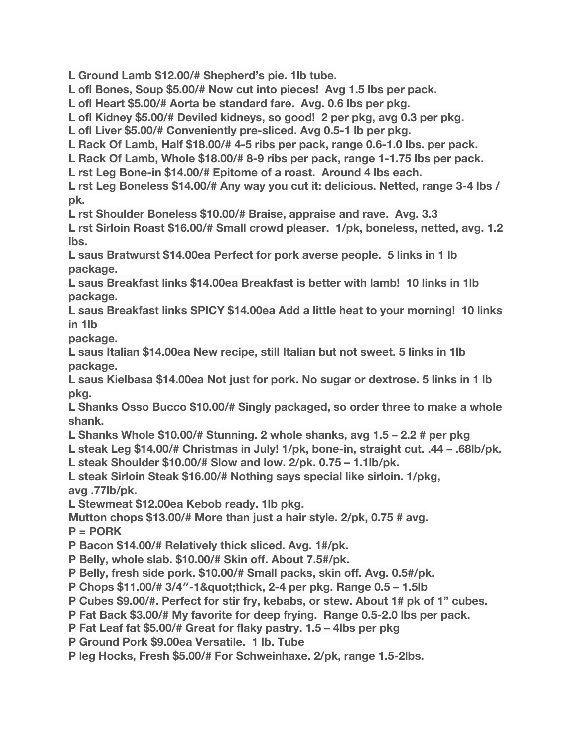**L Ground Lamb \$12.00/# Shepherd's pie. 1lb tube.**

**L ofl Bones, Soup \$5.00/# Now cut into pieces! Avg 1.5 lbs per pack.**

**L ofl Heart \$5.00/# Aorta be standard fare. Avg. 0.6 lbs per pkg.**

**L ofl Kidney \$5.00/# Deviled kidneys, so good! 2 per pkg, avg 0.3 per pkg.**

**L ofl Liver \$5.00/# Conveniently pre-sliced. Avg 0.5-1 lb per pkg.**

**L Rack Of Lamb, Half \$18.00/# 4-5 ribs per pack, range 0.6-1.0 lbs. per pack.**

**L Rack Of Lamb, Whole \$18.00/# 8-9 ribs per pack, range 1-1.75 lbs per pack.**

**L rst Leg Bone-in \$14.00/# Epitome of a roast. Around 4 lbs each.**

**L rst Leg Boneless \$14.00/# Any way you cut it: delicious. Netted, range 3-4 lbs / pk.**

**L rst Shoulder Boneless \$10.00/# Braise, appraise and rave. Avg. 3.3**

**L rst Sirloin Roast \$16.00/# Small crowd pleaser. 1/pk, boneless, netted, avg. 1.2 lbs.**

**L saus Bratwurst \$14.00ea Perfect for pork averse people. 5 links in 1 lb package.**

**L saus Breakfast links \$14.00ea Breakfast is better with lamb! 10 links in 1lb package.**

**L saus Breakfast links SPICY \$14.00ea Add a little heat to your morning! 10 links in 1lb**

**package.**

**L saus Italian \$14.00ea New recipe, still Italian but not sweet. 5 links in 1lb package.**

**L saus Kielbasa \$14.00ea Not just for pork. No sugar or dextrose. 5 links in 1 lb pkg.**

**L Shanks Osso Bucco \$10.00/# Singly packaged, so order three to make a whole shank.**

**L Shanks Whole \$10.00/# Stunning. 2 whole shanks, avg 1.5 – 2.2 # per pkg**

**L steak Leg \$14.00/# Christmas in July! 1/pk, bone-in, straight cut. .44 – .68lb/pk.**

**L steak Shoulder \$10.00/# Slow and low. 2/pk. 0.75 – 1.1lb/pk.**

**L steak Sirloin Steak \$16.00/# Nothing says special like sirloin. 1/pkg, avg .77lb/pk.**

**L Stewmeat \$12.00ea Kebob ready. 1lb pkg.**

**Mutton chops \$13.00/# More than just a hair style. 2/pk, 0.75 # avg.**

**P = PORK**

**P Bacon \$14.00/# Relatively thick sliced. Avg. 1#/pk.**

**P Belly, whole slab. \$10.00/# Skin off. About 7.5#/pk.**

**P Belly, fresh side pork. \$10.00/# Small packs, skin off. Avg. 0.5#/pk.**

**P Chops \$11.00/# 3/4"-1"thick, 2-4 per pkg. Range 0.5 – 1.5lb** 

**P Cubes \$9.00/#. Perfect for stir fry, kebabs, or stew. About 1# pk of 1" cubes.**

**P Fat Back \$3.00/# My favorite for deep frying. Range 0.5-2.0 lbs per pack.**

**P Fat Leaf fat \$5.00/# Great for flaky pastry. 1.5 – 4lbs per pkg**

**P Ground Pork \$9.00ea Versatile. 1 lb. Tube**

**P leg Hocks, Fresh \$5.00/# For Schweinhaxe. 2/pk, range 1.5-2lbs.**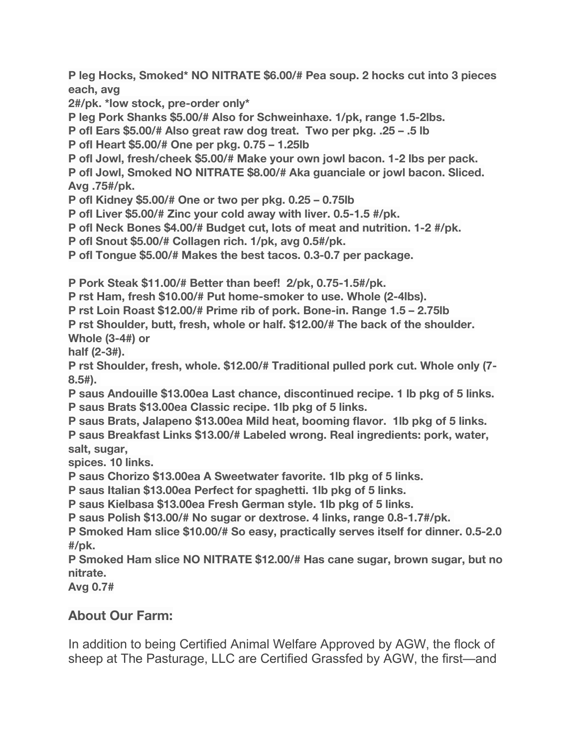**P leg Hocks, Smoked\* NO NITRATE \$6.00/# Pea soup. 2 hocks cut into 3 pieces each, avg**

**2#/pk. \*low stock, pre-order only\***

**P leg Pork Shanks \$5.00/# Also for Schweinhaxe. 1/pk, range 1.5-2lbs.**

**P ofl Ears \$5.00/# Also great raw dog treat. Two per pkg. .25 – .5 lb**

**P ofl Heart \$5.00/# One per pkg. 0.75 – 1.25lb**

**P ofl Jowl, fresh/cheek \$5.00/# Make your own jowl bacon. 1-2 lbs per pack.**

**P ofl Jowl, Smoked NO NITRATE \$8.00/# Aka guanciale or jowl bacon. Sliced. Avg .75#/pk.**

**P ofl Kidney \$5.00/# One or two per pkg. 0.25 – 0.75lb**

**P ofl Liver \$5.00/# Zinc your cold away with liver. 0.5-1.5 #/pk.**

**P ofl Neck Bones \$4.00/# Budget cut, lots of meat and nutrition. 1-2 #/pk.**

**P ofl Snout \$5.00/# Collagen rich. 1/pk, avg 0.5#/pk.**

**P ofl Tongue \$5.00/# Makes the best tacos. 0.3-0.7 per package.**

**P Pork Steak \$11.00/# Better than beef! 2/pk, 0.75-1.5#/pk.**

**P rst Ham, fresh \$10.00/# Put home-smoker to use. Whole (2-4lbs).**

**P rst Loin Roast \$12.00/# Prime rib of pork. Bone-in. Range 1.5 – 2.75lb**

**P rst Shoulder, butt, fresh, whole or half. \$12.00/# The back of the shoulder. Whole (3-4#) or**

**half (2-3#).**

**P rst Shoulder, fresh, whole. \$12.00/# Traditional pulled pork cut. Whole only (7- 8.5#).**

**P saus Andouille \$13.00ea Last chance, discontinued recipe. 1 lb pkg of 5 links. P saus Brats \$13.00ea Classic recipe. 1lb pkg of 5 links.**

**P saus Brats, Jalapeno \$13.00ea Mild heat, booming flavor. 1lb pkg of 5 links. P saus Breakfast Links \$13.00/# Labeled wrong. Real ingredients: pork, water, salt, sugar,**

**spices. 10 links.**

**P saus Chorizo \$13.00ea A Sweetwater favorite. 1lb pkg of 5 links.**

**P saus Italian \$13.00ea Perfect for spaghetti. 1lb pkg of 5 links.**

**P saus Kielbasa \$13.00ea Fresh German style. 1lb pkg of 5 links.**

**P saus Polish \$13.00/# No sugar or dextrose. 4 links, range 0.8-1.7#/pk.**

**P Smoked Ham slice \$10.00/# So easy, practically serves itself for dinner. 0.5-2.0 #/pk.**

**P Smoked Ham slice NO NITRATE \$12.00/# Has cane sugar, brown sugar, but no nitrate.**

**Avg 0.7#**

## **About Our Farm:**

In addition to being Certified Animal Welfare Approved by AGW, the flock of sheep at The Pasturage, LLC are Certified Grassfed by AGW, the first—and